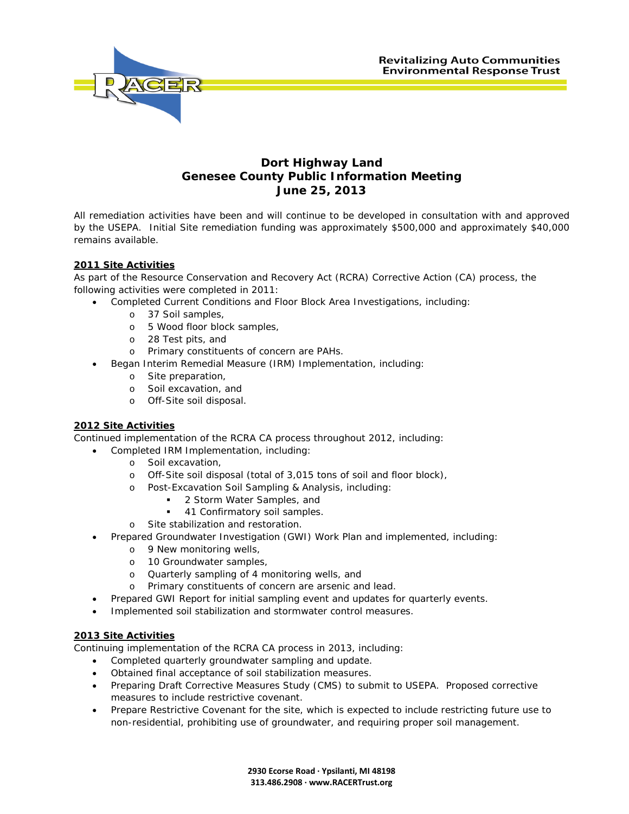

## **Dort Highway Land Genesee County Public Information Meeting June 25, 2013**

All remediation activities have been and will continue to be developed in consultation with and approved by the USEPA. Initial Site remediation funding was approximately \$500,000 and approximately \$40,000 remains available.

## **2011 Site Activities**

As part of the Resource Conservation and Recovery Act (RCRA) Corrective Action (CA) process, the following activities were completed in 2011:

- Completed Current Conditions and Floor Block Area Investigations, including:
	- o 37 Soil samples,
	- o 5 Wood floor block samples,
	- o 28 Test pits, and
	- o Primary constituents of concern are PAHs.
- Began Interim Remedial Measure (IRM) Implementation, including:
	- o Site preparation,
	- o Soil excavation, and
	- o Off-Site soil disposal.

## **2012 Site Activities**

Continued implementation of the RCRA CA process throughout 2012, including:

- Completed IRM Implementation, including:
	- o Soil excavation,
	- o Off-Site soil disposal (total of 3,015 tons of soil and floor block),
	- o Post-Excavation Soil Sampling & Analysis, including:
		- 2 Storm Water Samples, and
		- 41 Confirmatory soil samples.
	- o Site stabilization and restoration.
- Prepared Groundwater Investigation (GWI) Work Plan and implemented, including:
	- o 9 New monitoring wells,
	- o 10 Groundwater samples,
	- o Quarterly sampling of 4 monitoring wells, and
	- o Primary constituents of concern are arsenic and lead.
- Prepared GWI Report for initial sampling event and updates for quarterly events.
- Implemented soil stabilization and stormwater control measures.

## **2013 Site Activities**

Continuing implementation of the RCRA CA process in 2013, including:

- Completed quarterly groundwater sampling and update.
- Obtained final acceptance of soil stabilization measures.
- Preparing Draft Corrective Measures Study (CMS) to submit to USEPA. Proposed corrective measures to include restrictive covenant.
- Prepare Restrictive Covenant for the site, which is expected to include restricting future use to non-residential, prohibiting use of groundwater, and requiring proper soil management.

**2930 Ecorse Road · Ypsilanti, MI 48198 313.486.2908 · www.RACERTrust.org**